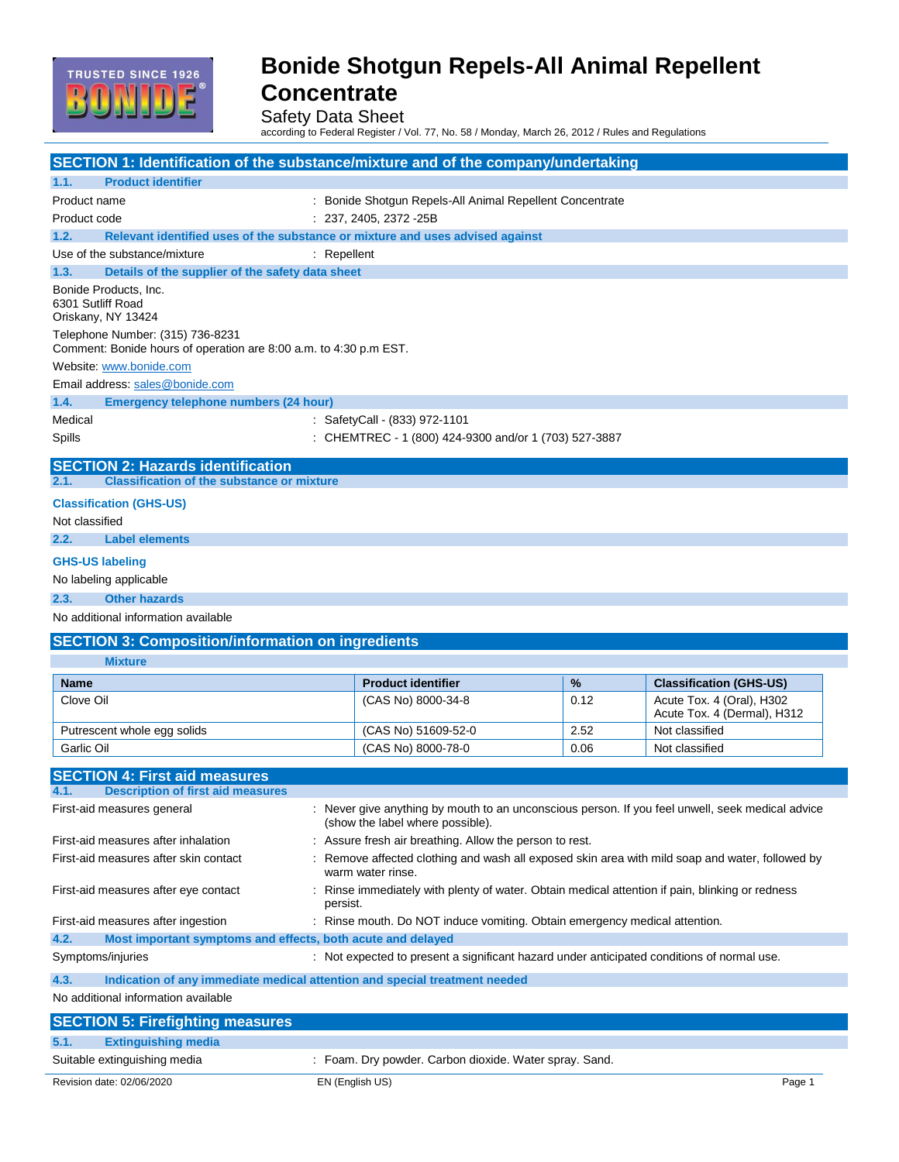

Safety Data Sheet

according to Federal Register / Vol. 77, No. 58 / Monday, March 26, 2012 / Rules and Regulations

| <b>SECTION 1: Identification of the substance/mixture and of the company/undertaking</b>              |                                                                                                                                      |      |                                                          |
|-------------------------------------------------------------------------------------------------------|--------------------------------------------------------------------------------------------------------------------------------------|------|----------------------------------------------------------|
| <b>Product identifier</b><br>1.1.                                                                     |                                                                                                                                      |      |                                                          |
| Product name                                                                                          | : Bonide Shotgun Repels-All Animal Repellent Concentrate                                                                             |      |                                                          |
| Product code                                                                                          | $: 237, 2405, 2372 - 25B$                                                                                                            |      |                                                          |
| Relevant identified uses of the substance or mixture and uses advised against<br>1.2.                 |                                                                                                                                      |      |                                                          |
| Use of the substance/mixture                                                                          | : Repellent                                                                                                                          |      |                                                          |
| Details of the supplier of the safety data sheet<br>1.3.                                              |                                                                                                                                      |      |                                                          |
| Bonide Products, Inc.<br>6301 Sutliff Road<br>Oriskany, NY 13424                                      |                                                                                                                                      |      |                                                          |
| Telephone Number: (315) 736-8231<br>Comment: Bonide hours of operation are 8:00 a.m. to 4:30 p.m EST. |                                                                                                                                      |      |                                                          |
| Website: www.bonide.com                                                                               |                                                                                                                                      |      |                                                          |
| Email address: sales@bonide.com                                                                       |                                                                                                                                      |      |                                                          |
| 1.4.<br><b>Emergency telephone numbers (24 hour)</b>                                                  |                                                                                                                                      |      |                                                          |
| Medical                                                                                               | : SafetyCall - (833) 972-1101                                                                                                        |      |                                                          |
| Spills                                                                                                | : CHEMTREC - 1 (800) 424-9300 and/or 1 (703) 527-3887                                                                                |      |                                                          |
|                                                                                                       |                                                                                                                                      |      |                                                          |
| <b>SECTION 2: Hazards identification</b><br>2.1.<br><b>Classification of the substance or mixture</b> |                                                                                                                                      |      |                                                          |
| <b>Classification (GHS-US)</b>                                                                        |                                                                                                                                      |      |                                                          |
| Not classified                                                                                        |                                                                                                                                      |      |                                                          |
| 2.2.<br><b>Label elements</b>                                                                         |                                                                                                                                      |      |                                                          |
| <b>GHS-US labeling</b>                                                                                |                                                                                                                                      |      |                                                          |
| No labeling applicable                                                                                |                                                                                                                                      |      |                                                          |
|                                                                                                       |                                                                                                                                      |      |                                                          |
| 2.3.<br><b>Other hazards</b>                                                                          |                                                                                                                                      |      |                                                          |
| No additional information available                                                                   |                                                                                                                                      |      |                                                          |
|                                                                                                       |                                                                                                                                      |      |                                                          |
| <b>SECTION 3: Composition/information on ingredients</b>                                              |                                                                                                                                      |      |                                                          |
| <b>Mixture</b>                                                                                        |                                                                                                                                      |      |                                                          |
| <b>Name</b>                                                                                           | <b>Product identifier</b>                                                                                                            | %    | <b>Classification (GHS-US)</b>                           |
| Clove Oil                                                                                             | (CAS No) 8000-34-8                                                                                                                   | 0.12 | Acute Tox. 4 (Oral), H302<br>Acute Tox. 4 (Dermal), H312 |
| Putrescent whole egg solids                                                                           | (CAS No) 51609-52-0                                                                                                                  | 2.52 | Not classified                                           |
| Garlic Oil                                                                                            | (CAS No) 8000-78-0                                                                                                                   | 0.06 | Not classified                                           |
|                                                                                                       |                                                                                                                                      |      |                                                          |
| <b>SECTION 4: First aid measures</b><br>4.1.<br><b>Description of first aid measures</b>              |                                                                                                                                      |      |                                                          |
| First-aid measures general                                                                            | : Never give anything by mouth to an unconscious person. If you feel unwell, seek medical advice<br>(show the label where possible). |      |                                                          |
| First-aid measures after inhalation                                                                   | Assure fresh air breathing. Allow the person to rest.                                                                                |      |                                                          |
| First-aid measures after skin contact                                                                 | Remove affected clothing and wash all exposed skin area with mild soap and water, followed by<br>warm water rinse.                   |      |                                                          |
| First-aid measures after eye contact                                                                  | Rinse immediately with plenty of water. Obtain medical attention if pain, blinking or redness<br>persist.                            |      |                                                          |
| First-aid measures after ingestion                                                                    | : Rinse mouth. Do NOT induce vomiting. Obtain emergency medical attention.                                                           |      |                                                          |
| 4.2.<br>Most important symptoms and effects, both acute and delayed                                   |                                                                                                                                      |      |                                                          |
| Symptoms/injuries                                                                                     | : Not expected to present a significant hazard under anticipated conditions of normal use.                                           |      |                                                          |
| 4.3.<br>Indication of any immediate medical attention and special treatment needed                    |                                                                                                                                      |      |                                                          |
| No additional information available                                                                   |                                                                                                                                      |      |                                                          |
| <b>SECTION 5: Firefighting measures</b>                                                               |                                                                                                                                      |      |                                                          |
| <b>Extinguishing media</b><br>5.1.                                                                    |                                                                                                                                      |      |                                                          |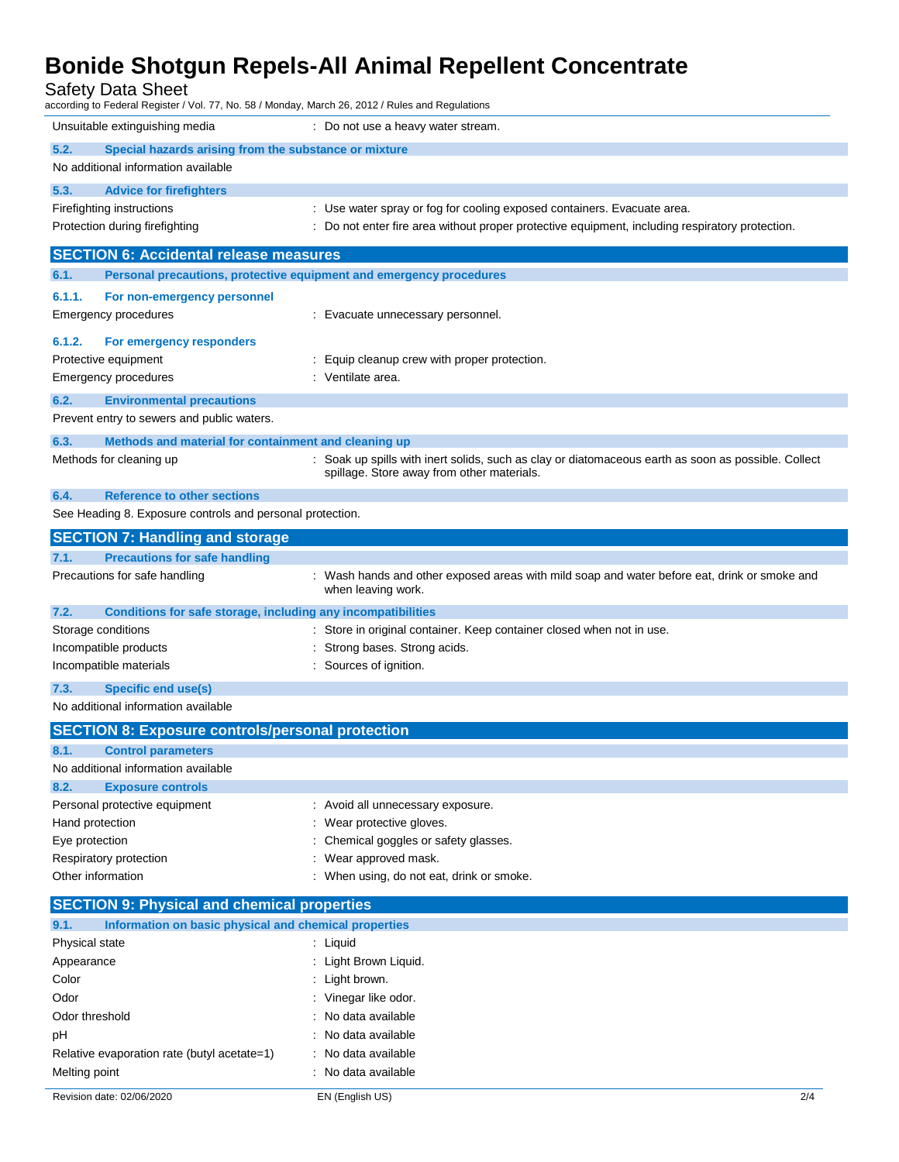Safety Data Sheet

| uivit Duiu Viivvi<br>according to Federal Register / Vol. 77, No. 58 / Monday, March 26, 2012 / Rules and Regulations |                                                                                                                    |  |  |  |
|-----------------------------------------------------------------------------------------------------------------------|--------------------------------------------------------------------------------------------------------------------|--|--|--|
| Unsuitable extinguishing media                                                                                        | : Do not use a heavy water stream.                                                                                 |  |  |  |
| 5.2.<br>Special hazards arising from the substance or mixture                                                         |                                                                                                                    |  |  |  |
| No additional information available                                                                                   |                                                                                                                    |  |  |  |
| 5.3.<br><b>Advice for firefighters</b>                                                                                |                                                                                                                    |  |  |  |
| Firefighting instructions                                                                                             | : Use water spray or fog for cooling exposed containers. Evacuate area.                                            |  |  |  |
| Protection during firefighting                                                                                        | : Do not enter fire area without proper protective equipment, including respiratory protection.                    |  |  |  |
| <b>SECTION 6: Accidental release measures</b>                                                                         |                                                                                                                    |  |  |  |
| 6.1.                                                                                                                  | Personal precautions, protective equipment and emergency procedures                                                |  |  |  |
|                                                                                                                       |                                                                                                                    |  |  |  |
| 6.1.1.<br>For non-emergency personnel                                                                                 |                                                                                                                    |  |  |  |
| <b>Emergency procedures</b>                                                                                           | : Evacuate unnecessary personnel.                                                                                  |  |  |  |
| 6.1.2.<br>For emergency responders                                                                                    |                                                                                                                    |  |  |  |
| Protective equipment                                                                                                  | : Equip cleanup crew with proper protection.                                                                       |  |  |  |
| Emergency procedures                                                                                                  | : Ventilate area.                                                                                                  |  |  |  |
| 6.2.<br><b>Environmental precautions</b>                                                                              |                                                                                                                    |  |  |  |
| Prevent entry to sewers and public waters.                                                                            |                                                                                                                    |  |  |  |
| 6.3.<br>Methods and material for containment and cleaning up                                                          |                                                                                                                    |  |  |  |
| Methods for cleaning up                                                                                               | : Soak up spills with inert solids, such as clay or diatomaceous earth as soon as possible. Collect                |  |  |  |
|                                                                                                                       | spillage. Store away from other materials.                                                                         |  |  |  |
| 6.4.<br><b>Reference to other sections</b>                                                                            |                                                                                                                    |  |  |  |
| See Heading 8. Exposure controls and personal protection.                                                             |                                                                                                                    |  |  |  |
| <b>SECTION 7: Handling and storage</b>                                                                                |                                                                                                                    |  |  |  |
| <b>Precautions for safe handling</b><br>7.1.                                                                          |                                                                                                                    |  |  |  |
| Precautions for safe handling                                                                                         | : Wash hands and other exposed areas with mild soap and water before eat, drink or smoke and<br>when leaving work. |  |  |  |
|                                                                                                                       |                                                                                                                    |  |  |  |
| 7.2.<br>Conditions for safe storage, including any incompatibilities<br>Storage conditions                            | : Store in original container. Keep container closed when not in use.                                              |  |  |  |
| Incompatible products                                                                                                 | Strong bases. Strong acids.                                                                                        |  |  |  |
| Incompatible materials                                                                                                | Sources of ignition.                                                                                               |  |  |  |
| <b>Specific end use(s)</b><br>7.3.                                                                                    |                                                                                                                    |  |  |  |
| No additional information available                                                                                   |                                                                                                                    |  |  |  |
|                                                                                                                       |                                                                                                                    |  |  |  |
| <b>SECTION 8: Exposure controls/personal protection</b><br>8.1                                                        |                                                                                                                    |  |  |  |
| <b>Control parameters</b><br>No additional information available                                                      |                                                                                                                    |  |  |  |
| 8.2.<br><b>Exposure controls</b>                                                                                      |                                                                                                                    |  |  |  |
| Personal protective equipment                                                                                         | : Avoid all unnecessary exposure.                                                                                  |  |  |  |
| Hand protection                                                                                                       | Wear protective gloves.                                                                                            |  |  |  |
| Eye protection                                                                                                        | Chemical goggles or safety glasses.                                                                                |  |  |  |
| Respiratory protection                                                                                                | Wear approved mask.                                                                                                |  |  |  |
| Other information                                                                                                     | : When using, do not eat, drink or smoke.                                                                          |  |  |  |
| <b>SECTION 9: Physical and chemical properties</b>                                                                    |                                                                                                                    |  |  |  |
| 9.1.<br>Information on basic physical and chemical properties                                                         |                                                                                                                    |  |  |  |
| Physical state                                                                                                        | : Liquid                                                                                                           |  |  |  |
| Appearance                                                                                                            | : Light Brown Liquid.                                                                                              |  |  |  |
| Color                                                                                                                 | : Light brown.                                                                                                     |  |  |  |
| Odor                                                                                                                  | : Vinegar like odor.                                                                                               |  |  |  |
| Odor threshold                                                                                                        | No data available                                                                                                  |  |  |  |
| pH                                                                                                                    | : No data available                                                                                                |  |  |  |
| Relative evaporation rate (butyl acetate=1)                                                                           | : No data available                                                                                                |  |  |  |
| Melting point                                                                                                         | : No data available                                                                                                |  |  |  |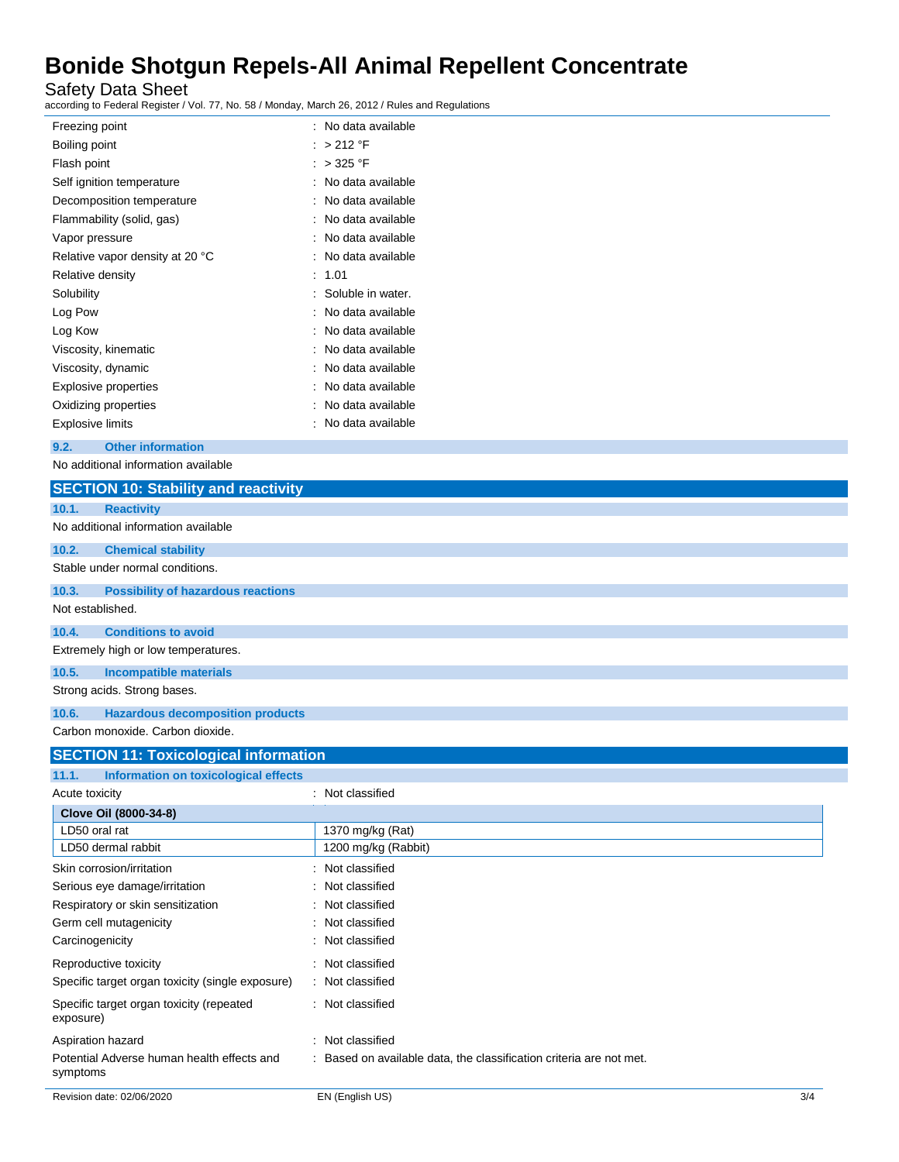Safety Data Sheet

according to Federal Register / Vol. 77, No. 58 / Monday, March 26, 2012 / Rules and Regulations

| Freezing point                  | : No data available |
|---------------------------------|---------------------|
| Boiling point                   | : > 212 °F          |
| Flash point                     | $>$ 325 °F          |
| Self ignition temperature       | No data available   |
| Decomposition temperature       | No data available   |
| Flammability (solid, gas)       | No data available   |
| Vapor pressure                  | No data available   |
| Relative vapor density at 20 °C | No data available   |
| Relative density                | 1.01                |
| Solubility                      | Soluble in water.   |
| Log Pow                         | No data available   |
| Log Kow                         | No data available   |
| Viscosity, kinematic            | No data available   |
| Viscosity, dynamic              | No data available   |
| Explosive properties            | No data available   |
| Oxidizing properties            | No data available   |
| Explosive limits                | No data available   |
|                                 |                     |

**9.2. Other information**

No additional information available

| <b>SECTION 10: Stability and reactivity</b>           |                     |
|-------------------------------------------------------|---------------------|
| <b>Reactivity</b><br>10.1.                            |                     |
| No additional information available                   |                     |
| 10.2.<br><b>Chemical stability</b>                    |                     |
| Stable under normal conditions.                       |                     |
| <b>Possibility of hazardous reactions</b><br>10.3.    |                     |
| Not established.                                      |                     |
| <b>Conditions to avoid</b><br>10.4.                   |                     |
| Extremely high or low temperatures.                   |                     |
| 10.5.<br><b>Incompatible materials</b>                |                     |
| Strong acids. Strong bases.                           |                     |
| 10.6.<br><b>Hazardous decomposition products</b>      |                     |
| Carbon monoxide. Carbon dioxide.                      |                     |
| <b>SECTION 11: Toxicological information</b>          |                     |
| <b>Information on toxicological effects</b><br>11.1.  |                     |
| Acute toxicity                                        | : Not classified    |
| Clove Oil (8000-34-8)                                 |                     |
| LD50 oral rat                                         | 1370 mg/kg (Rat)    |
| LD50 dermal rabbit                                    | 1200 mg/kg (Rabbit) |
| Skin corrosion/irritation                             | : Not classified    |
| Serious eye damage/irritation                         | Not classified      |
| Respiratory or skin sensitization                     | Not classified      |
| Germ cell mutagenicity                                | Not classified      |
| Carcinogenicity                                       | : Not classified    |
| Reproductive toxicity                                 | : Not classified    |
| Specific target organ toxicity (single exposure)      | : Not classified    |
| Specific target organ toxicity (repeated<br>exposure) | : Not classified    |